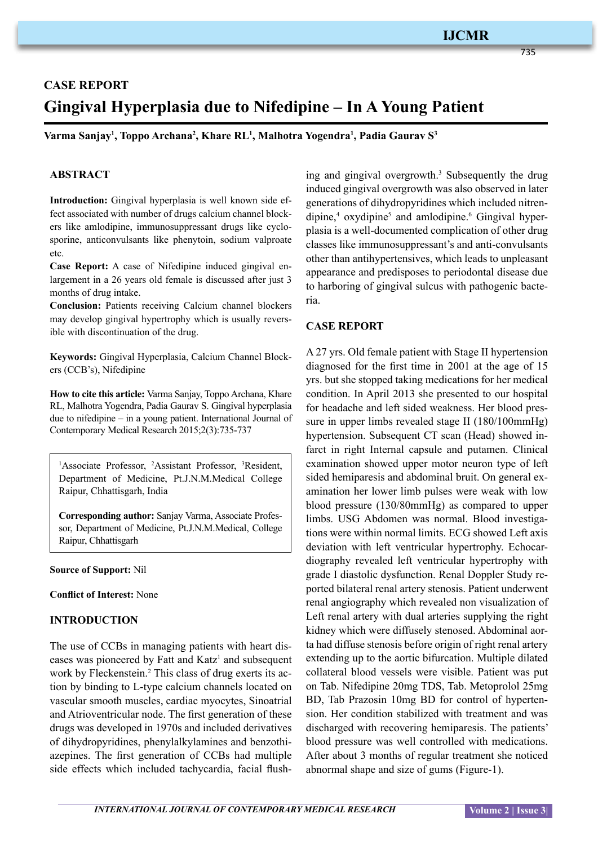## **IJCMR**

735

# **CASE REPORT Gingival Hyperplasia due to Nifedipine – In A Young Patient**

**Varma Sanjay1 , Toppo Archana2 , Khare RL1 , Malhotra Yogendra1 , Padia Gaurav S3**

#### **ABSTRACT**

**Introduction:** Gingival hyperplasia is well known side effect associated with number of drugs calcium channel blockers like amlodipine, immunosuppressant drugs like cyclosporine, anticonvulsants like phenytoin, sodium valproate etc.

**Case Report:** A case of Nifedipine induced gingival enlargement in a 26 years old female is discussed after just 3 months of drug intake.

**Conclusion:** Patients receiving Calcium channel blockers may develop gingival hypertrophy which is usually reversible with discontinuation of the drug.

**Keywords:** Gingival Hyperplasia, Calcium Channel Blockers (CCB's), Nifedipine

**How to cite this article:** Varma Sanjay, Toppo Archana, Khare RL, Malhotra Yogendra, Padia Gaurav S. Gingival hyperplasia due to nifedipine – in a young patient. International Journal of Contemporary Medical Research 2015;2(3):735-737

<sup>1</sup>Associate Professor, <sup>2</sup>Assistant Professor, <sup>3</sup>Resident, Department of Medicine, Pt.J.N.M.Medical College Raipur, Chhattisgarh, India

**Corresponding author:** Sanjay Varma, Associate Professor, Department of Medicine, Pt.J.N.M.Medical, College Raipur, Chhattisgarh

**Source of Support:** Nil

**Conflict of Interest:** None

#### **INTRODUCTION**

The use of CCBs in managing patients with heart diseases was pioneered by Fatt and Katz<sup>1</sup> and subsequent work by Fleckenstein.<sup>2</sup> This class of drug exerts its action by binding to L-type calcium channels located on vascular smooth muscles, cardiac myocytes, Sinoatrial and Atrioventricular node. The first generation of these drugs was developed in 1970s and included derivatives of dihydropyridines, phenylalkylamines and benzothiazepines. The first generation of CCBs had multiple side effects which included tachycardia, facial flush-

ing and gingival overgrowth.<sup>3</sup> Subsequently the drug induced gingival overgrowth was also observed in later generations of dihydropyridines which included nitrendipine,<sup>4</sup> oxydipine<sup>5</sup> and amlodipine.<sup>6</sup> Gingival hyperplasia is a well-documented complication of other drug classes like immunosuppressant's and anti-convulsants other than antihypertensives, which leads to unpleasant appearance and predisposes to periodontal disease due to harboring of gingival sulcus with pathogenic bacteria.

#### **Case Report**

A 27 yrs. Old female patient with Stage II hypertension diagnosed for the first time in 2001 at the age of 15 yrs. but she stopped taking medications for her medical condition. In April 2013 she presented to our hospital for headache and left sided weakness. Her blood pressure in upper limbs revealed stage II (180/100mmHg) hypertension. Subsequent CT scan (Head) showed infarct in right Internal capsule and putamen. Clinical examination showed upper motor neuron type of left sided hemiparesis and abdominal bruit. On general examination her lower limb pulses were weak with low blood pressure (130/80mmHg) as compared to upper limbs. USG Abdomen was normal. Blood investigations were within normal limits. ECG showed Left axis deviation with left ventricular hypertrophy. Echocardiography revealed left ventricular hypertrophy with grade I diastolic dysfunction. Renal Doppler Study reported bilateral renal artery stenosis. Patient underwent renal angiography which revealed non visualization of Left renal artery with dual arteries supplying the right kidney which were diffusely stenosed. Abdominal aorta had diffuse stenosis before origin of right renal artery extending up to the aortic bifurcation. Multiple dilated collateral blood vessels were visible. Patient was put on Tab. Nifedipine 20mg TDS, Tab. Metoprolol 25mg BD, Tab Prazosin 10mg BD for control of hypertension. Her condition stabilized with treatment and was discharged with recovering hemiparesis. The patients' blood pressure was well controlled with medications. After about 3 months of regular treatment she noticed abnormal shape and size of gums (Figure-1).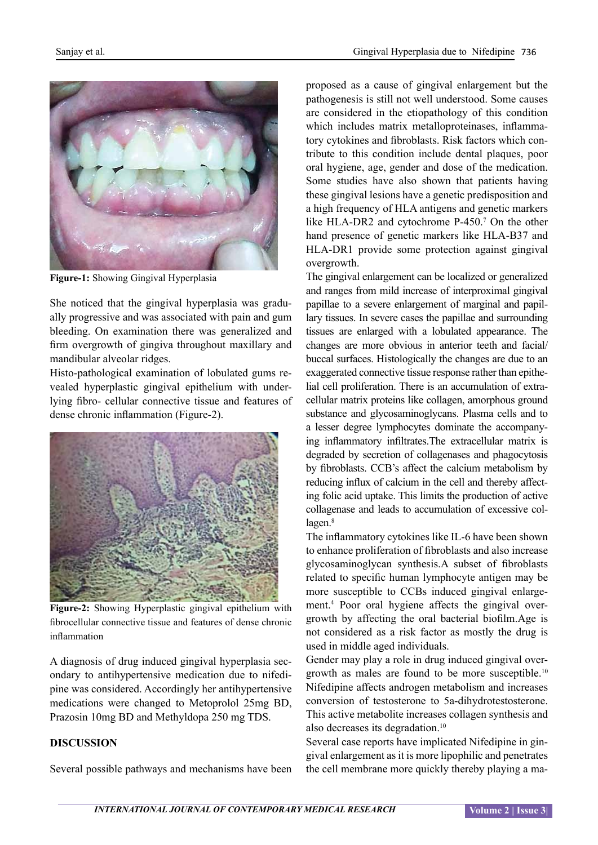

**Figure-1:** Showing Gingival Hyperplasia

She noticed that the gingival hyperplasia was gradually progressive and was associated with pain and gum bleeding. On examination there was generalized and firm overgrowth of gingiva throughout maxillary and mandibular alveolar ridges.

Histo-pathological examination of lobulated gums revealed hyperplastic gingival epithelium with underlying fibro- cellular connective tissue and features of dense chronic inflammation (Figure-2).



**Figure-2:** Showing Hyperplastic gingival epithelium with fibrocellular connective tissue and features of dense chronic inflammation

A diagnosis of drug induced gingival hyperplasia secondary to antihypertensive medication due to nifedipine was considered. Accordingly her antihypertensive medications were changed to Metoprolol 25mg BD, Prazosin 10mg BD and Methyldopa 250 mg TDS.

## **DISCUSSION**

Several possible pathways and mechanisms have been

proposed as a cause of gingival enlargement but the pathogenesis is still not well understood. Some causes are considered in the etiopathology of this condition which includes matrix metalloproteinases, inflammatory cytokines and fibroblasts. Risk factors which contribute to this condition include dental plaques, poor oral hygiene, age, gender and dose of the medication. Some studies have also shown that patients having these gingival lesions have a genetic predisposition and a high frequency of HLA antigens and genetic markers like HLA-DR2 and cytochrome P-450.<sup>7</sup> On the other hand presence of genetic markers like HLA-B37 and HLA-DR1 provide some protection against gingival overgrowth.

The gingival enlargement can be localized or generalized and ranges from mild increase of interproximal gingival papillae to a severe enlargement of marginal and papillary tissues. In severe cases the papillae and surrounding tissues are enlarged with a lobulated appearance. The changes are more obvious in anterior teeth and facial/ buccal surfaces. Histologically the changes are due to an exaggerated connective tissue response rather than epithelial cell proliferation. There is an accumulation of extracellular matrix proteins like collagen, amorphous ground substance and glycosaminoglycans. Plasma cells and to a lesser degree lymphocytes dominate the accompanying inflammatory infiltrates.The extracellular matrix is degraded by secretion of collagenases and phagocytosis by fibroblasts. CCB's affect the calcium metabolism by reducing influx of calcium in the cell and thereby affecting folic acid uptake. This limits the production of active collagenase and leads to accumulation of excessive collagen.<sup>8</sup>

The inflammatory cytokines like IL-6 have been shown to enhance proliferation of fibroblasts and also increase glycosaminoglycan synthesis.A subset of fibroblasts related to specific human lymphocyte antigen may be more susceptible to CCBs induced gingival enlargement.4 Poor oral hygiene affects the gingival overgrowth by affecting the oral bacterial biofilm.Age is not considered as a risk factor as mostly the drug is used in middle aged individuals.

Gender may play a role in drug induced gingival overgrowth as males are found to be more susceptible.10 Nifedipine affects androgen metabolism and increases conversion of testosterone to 5a-dihydrotestosterone. This active metabolite increases collagen synthesis and also decreases its degradation.10

Several case reports have implicated Nifedipine in gingival enlargement as it is more lipophilic and penetrates the cell membrane more quickly thereby playing a ma